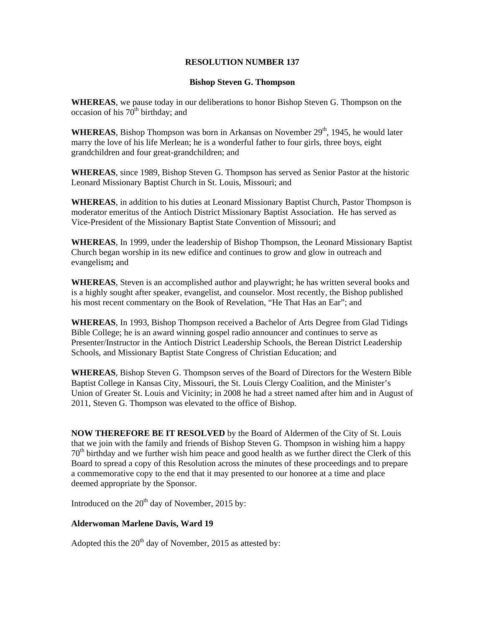## **RESOLUTION NUMBER 137**

## **Bishop Steven G. Thompson**

**WHEREAS**, we pause today in our deliberations to honor Bishop Steven G. Thompson on the occasion of his  $70<sup>th</sup>$  birthday; and

**WHEREAS**, Bishop Thompson was born in Arkansas on November 29<sup>th</sup>, 1945, he would later marry the love of his life Merlean; he is a wonderful father to four girls, three boys, eight grandchildren and four great-grandchildren; and

**WHEREAS**, since 1989, Bishop Steven G. Thompson has served as Senior Pastor at the historic Leonard Missionary Baptist Church in St. Louis, Missouri; and

**WHEREAS**, in addition to his duties at Leonard Missionary Baptist Church, Pastor Thompson is moderator emeritus of the Antioch District Missionary Baptist Association. He has served as Vice-President of the Missionary Baptist State Convention of Missouri; and

**WHEREAS**, In 1999, under the leadership of Bishop Thompson, the Leonard Missionary Baptist Church began worship in its new edifice and continues to grow and glow in outreach and evangelism**;** and

**WHEREAS**, Steven is an accomplished author and playwright; he has written several books and is a highly sought after speaker, evangelist, and counselor. Most recently, the Bishop published his most recent commentary on the Book of Revelation, "He That Has an Ear"; and

**WHEREAS**, In 1993, Bishop Thompson received a Bachelor of Arts Degree from Glad Tidings Bible College; he is an award winning gospel radio announcer and continues to serve as Presenter/Instructor in the Antioch District Leadership Schools, the Berean District Leadership Schools, and Missionary Baptist State Congress of Christian Education; and

**WHEREAS**, Bishop Steven G. Thompson serves of the Board of Directors for the Western Bible Baptist College in Kansas City, Missouri, the St. Louis Clergy Coalition, and the Minister's Union of Greater St. Louis and Vicinity; in 2008 he had a street named after him and in August of 2011, Steven G. Thompson was elevated to the office of Bishop.

**NOW THEREFORE BE IT RESOLVED** by the Board of Aldermen of the City of St. Louis that we join with the family and friends of Bishop Steven G. Thompson in wishing him a happy  $70<sup>th</sup>$  birthday and we further wish him peace and good health as we further direct the Clerk of this Board to spread a copy of this Resolution across the minutes of these proceedings and to prepare a commemorative copy to the end that it may presented to our honoree at a time and place deemed appropriate by the Sponsor.

Introduced on the  $20<sup>th</sup>$  day of November, 2015 by:

## **Alderwoman Marlene Davis, Ward 19**

Adopted this the  $20<sup>th</sup>$  day of November, 2015 as attested by: